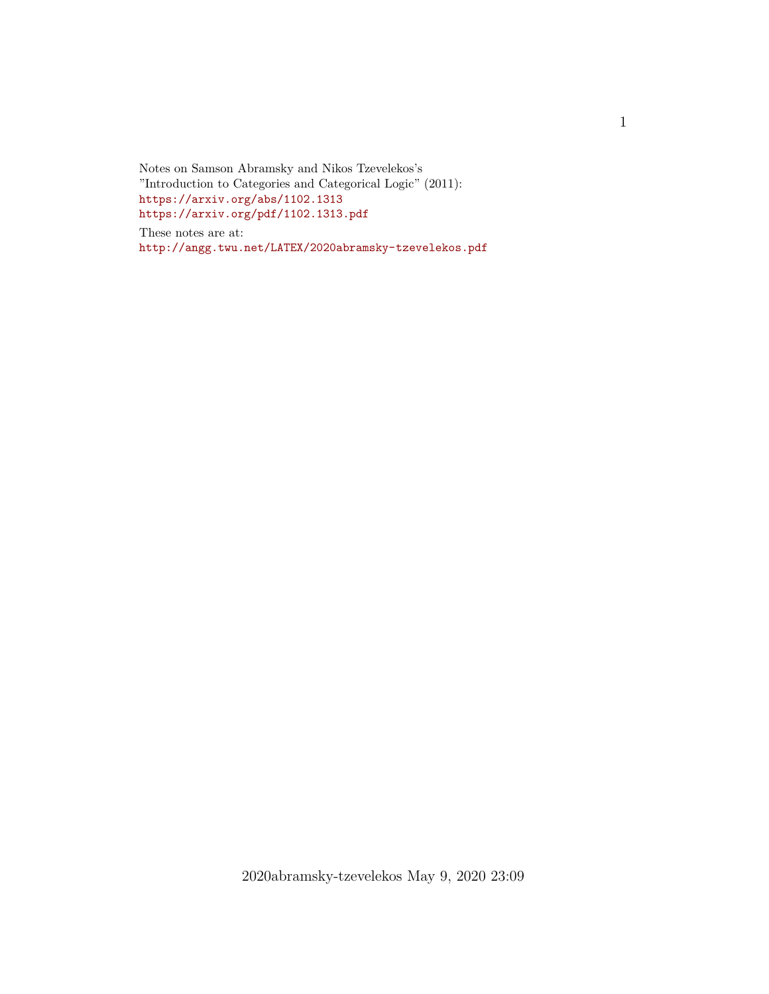Notes on Samson Abramsky and Nikos Tzevelekos's "Introduction to Categories and Categorical Logic" (2011): <https://arxiv.org/abs/1102.1313> <https://arxiv.org/pdf/1102.1313.pdf>

These notes are at: <http://angg.twu.net/LATEX/2020abramsky-tzevelekos.pdf>